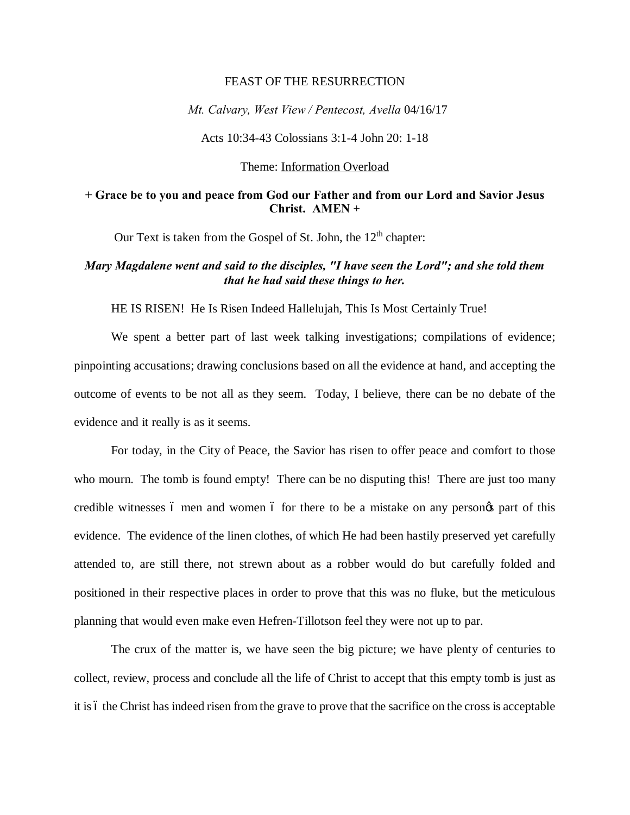## FEAST OF THE RESURRECTION

*Mt. Calvary, West View / Pentecost, Avella* 04/16/17

Acts 10:34-43 Colossians 3:1-4 John 20: 1-18

Theme: Information Overload

## **+ Grace be to you and peace from God our Father and from our Lord and Savior Jesus Christ. AMEN** +

Our Text is taken from the Gospel of St. John, the  $12<sup>th</sup>$  chapter:

## *Mary Magdalene went and said to the disciples, "I have seen the Lord"; and she told them that he had said these things to her.*

HE IS RISEN! He Is Risen Indeed Hallelujah, This Is Most Certainly True!

We spent a better part of last week talking investigations; compilations of evidence; pinpointing accusations; drawing conclusions based on all the evidence at hand, and accepting the outcome of events to be not all as they seem. Today, I believe, there can be no debate of the evidence and it really is as it seems.

For today, in the City of Peace, the Savior has risen to offer peace and comfort to those who mourn. The tomb is found empty! There can be no disputing this! There are just too many credible witnesses 6 men and women 6 for there to be a mistake on any persongs part of this evidence. The evidence of the linen clothes, of which He had been hastily preserved yet carefully attended to, are still there, not strewn about as a robber would do but carefully folded and positioned in their respective places in order to prove that this was no fluke, but the meticulous planning that would even make even Hefren-Tillotson feel they were not up to par.

The crux of the matter is, we have seen the big picture; we have plenty of centuries to collect, review, process and conclude all the life of Christ to accept that this empty tomb is just as it is 6 the Christ has indeed risen from the grave to prove that the sacrifice on the cross is acceptable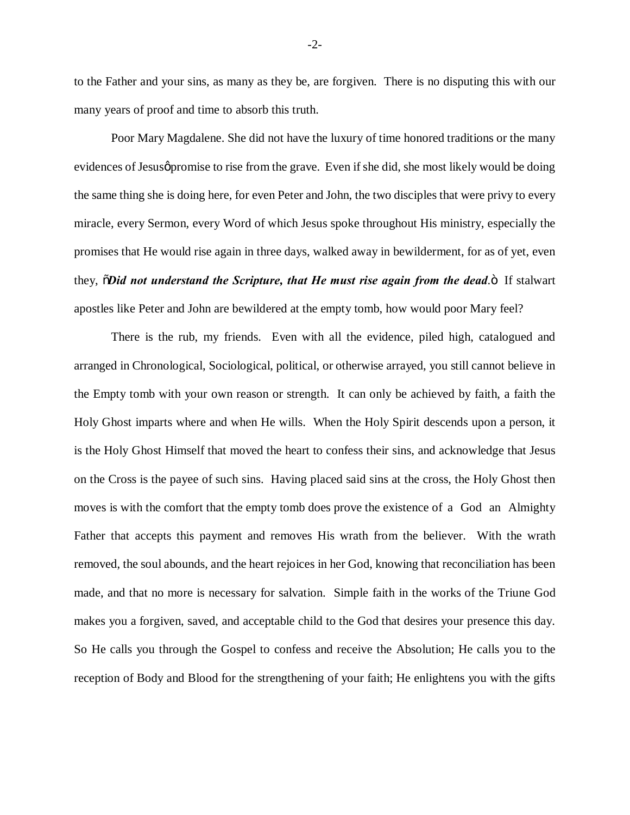to the Father and your sins, as many as they be, are forgiven. There is no disputing this with our many years of proof and time to absorb this truth.

Poor Mary Magdalene. She did not have the luxury of time honored traditions or the many evidences of Jesus promise to rise from the grave. Even if she did, she most likely would be doing the same thing she is doing here, for even Peter and John, the two disciples that were privy to every miracle, every Sermon, every Word of which Jesus spoke throughout His ministry, especially the promises that He would rise again in three days, walked away in bewilderment, for as of yet, even they,  $\delta$ *Did not understand the Scripture, that He must rise again from the dead.* If stalwart apostles like Peter and John are bewildered at the empty tomb, how would poor Mary feel?

There is the rub, my friends. Even with all the evidence, piled high, catalogued and arranged in Chronological, Sociological, political, or otherwise arrayed, you still cannot believe in the Empty tomb with your own reason or strength. It can only be achieved by faith, a faith the Holy Ghost imparts where and when He wills. When the Holy Spirit descends upon a person, it is the Holy Ghost Himself that moved the heart to confess their sins, and acknowledge that Jesus on the Cross is the payee of such sins. Having placed said sins at the cross, the Holy Ghost then moves is with the comfort that the empty tomb does prove the existence of a God an Almighty Father that accepts this payment and removes His wrath from the believer. With the wrath removed, the soul abounds, and the heart rejoices in her God, knowing that reconciliation has been made, and that no more is necessary for salvation. Simple faith in the works of the Triune God makes you a forgiven, saved, and acceptable child to the God that desires your presence this day. So He calls you through the Gospel to confess and receive the Absolution; He calls you to the reception of Body and Blood for the strengthening of your faith; He enlightens you with the gifts